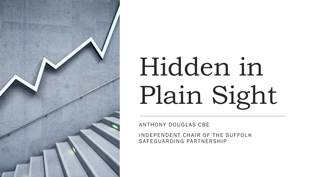

## Hidden in Plain Sight

ANTHONY DOUGLAS CBE

INDEPENDENT CHAIR OF THE SUFFOLK SAFEGUARDING PARTNERSHIP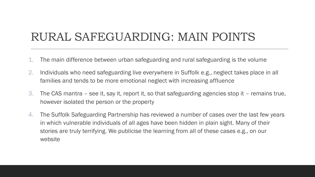## RURAL SAFEGUARDING: MAIN POINTS

- 1. The main difference between urban safeguarding and rural safeguarding is the volume
- 2. Individuals who need safeguarding live everywhere in Suffolk e.g., neglect takes place in all families and tends to be more emotional neglect with increasing affluence
- 3. The CAS mantra see it, say it, report it, so that safeguarding agencies stop it remains true, however isolated the person or the property
- 4. The Suffolk Safeguarding Partnership has reviewed a number of cases over the last few years in which vulnerable individuals of all ages have been hidden in plain sight. Many of their stories are truly terrifying. We publicise the learning from all of these cases e.g., on our website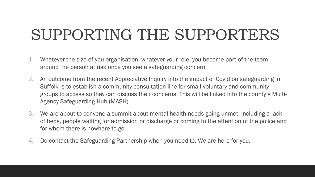## SUPPORTING THE SUPPORTERS

- 1. Whatever the size of you organisation, whatever your role, you become part of the team around the person at risk once you see a safeguarding concern
- 2. An outcome from the recent Appreciative Inquiry into the impact of Covid on safeguarding in Suffolk is to establish a community consultation line for small voluntary and community groups to access so they can discuss their concerns. This will be linked into the county's Multi-Agency Safeguarding Hub (MASH)
- 3. We are about to convene a summit about mental health needs going unmet, including a lack of beds, people waiting for admission or discharge or coming to the attention of the police and for whom there is nowhere to go.
- 4. Do contact the Safeguarding Partnership when you need to. We are here for you.